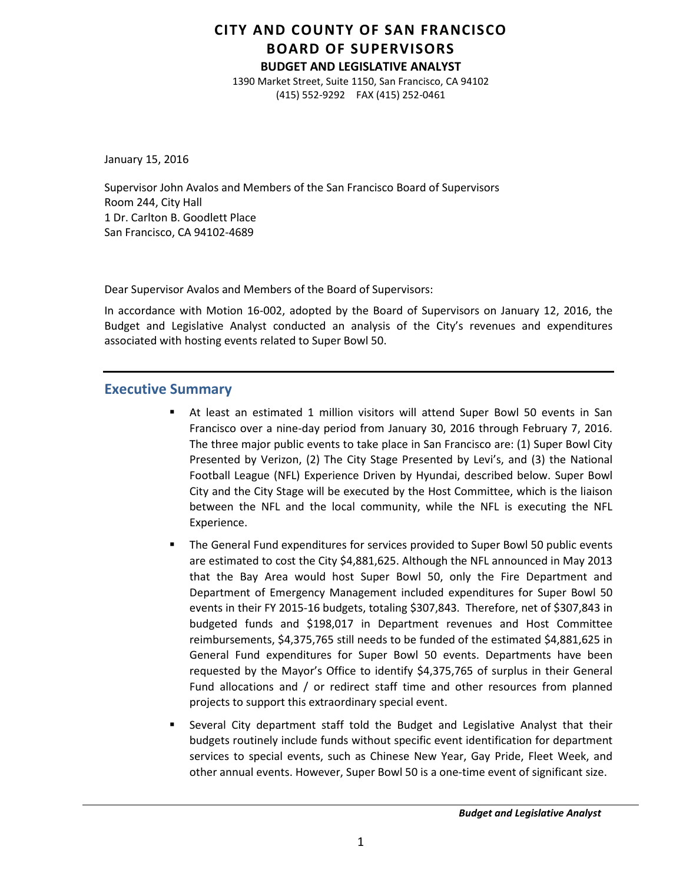# **CITY AND COUNTY OF SAN FRANCISCO BOARD OF SUPERVISORS**

**BUDGET AND LEGISLATIVE ANALYST**

1390 Market Street, Suite 1150, San Francisco, CA 94102 (415) 552-9292 FAX (415) 252-0461

January 15, 2016

Supervisor John Avalos and Members of the San Francisco Board of Supervisors Room 244, City Hall 1 Dr. Carlton B. Goodlett Place San Francisco, CA 94102-4689

Dear Supervisor Avalos and Members of the Board of Supervisors:

In accordance with Motion 16-002, adopted by the Board of Supervisors on January 12, 2016, the Budget and Legislative Analyst conducted an analysis of the City's revenues and expenditures associated with hosting events related to Super Bowl 50.

# **Executive Summary**

- At least an estimated 1 million visitors will attend Super Bowl 50 events in San Francisco over a nine-day period from January 30, 2016 through February 7, 2016. The three major public events to take place in San Francisco are: (1) Super Bowl City Presented by Verizon, (2) The City Stage Presented by Levi's, and (3) the National Football League (NFL) Experience Driven by Hyundai, described below. Super Bowl City and the City Stage will be executed by the Host Committee, which is the liaison between the NFL and the local community, while the NFL is executing the NFL Experience.
- The General Fund expenditures for services provided to Super Bowl 50 public events are estimated to cost the City \$4,881,625. Although the NFL announced in May 2013 that the Bay Area would host Super Bowl 50, only the Fire Department and Department of Emergency Management included expenditures for Super Bowl 50 events in their FY 2015-16 budgets, totaling \$307,843. Therefore, net of \$307,843 in budgeted funds and \$198,017 in Department revenues and Host Committee reimbursements, \$4,375,765 still needs to be funded of the estimated \$4,881,625 in General Fund expenditures for Super Bowl 50 events. Departments have been requested by the Mayor's Office to identify \$4,375,765 of surplus in their General Fund allocations and / or redirect staff time and other resources from planned projects to support this extraordinary special event.
- Several City department staff told the Budget and Legislative Analyst that their budgets routinely include funds without specific event identification for department services to special events, such as Chinese New Year, Gay Pride, Fleet Week, and other annual events. However, Super Bowl 50 is a one-time event of significant size.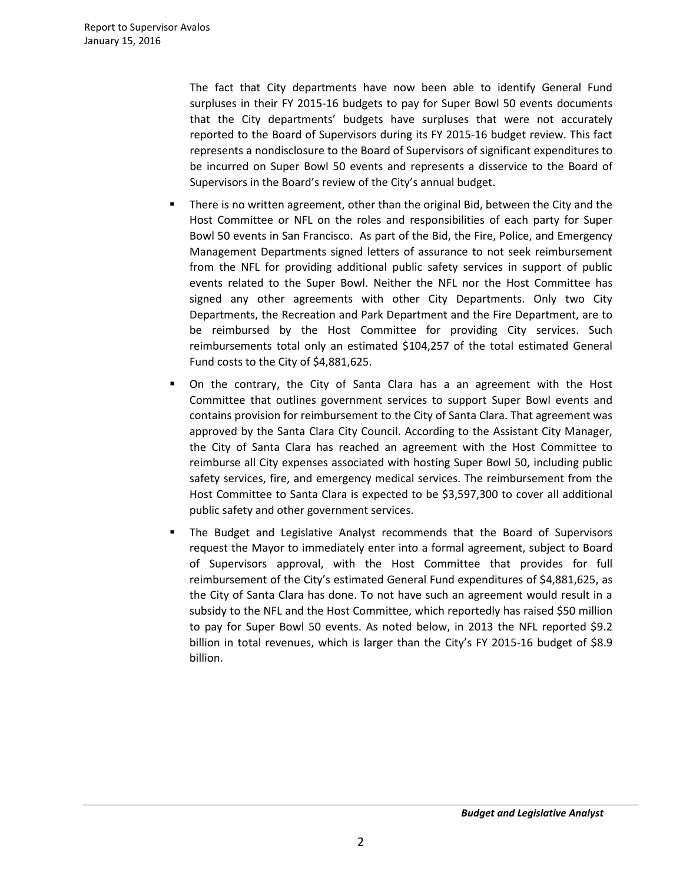The fact that City departments have now been able to identify General Fund surpluses in their FY 2015-16 budgets to pay for Super Bowl 50 events documents that the City departments' budgets have surpluses that were not accurately reported to the Board of Supervisors during its FY 2015-16 budget review. This fact represents a nondisclosure to the Board of Supervisors of significant expenditures to be incurred on Super Bowl 50 events and represents a disservice to the Board of Supervisors in the Board's review of the City's annual budget.

- There is no written agreement, other than the original Bid, between the City and the Host Committee or NFL on the roles and responsibilities of each party for Super Bowl 50 events in San Francisco. As part of the Bid, the Fire, Police, and Emergency Management Departments signed letters of assurance to not seek reimbursement from the NFL for providing additional public safety services in support of public events related to the Super Bowl. Neither the NFL nor the Host Committee has signed any other agreements with other City Departments. Only two City Departments, the Recreation and Park Department and the Fire Department, are to be reimbursed by the Host Committee for providing City services. Such reimbursements total only an estimated \$104,257 of the total estimated General Fund costs to the City of \$4,881,625.
- On the contrary, the City of Santa Clara has a an agreement with the Host Committee that outlines government services to support Super Bowl events and contains provision for reimbursement to the City of Santa Clara. That agreement was approved by the Santa Clara City Council. According to the Assistant City Manager, the City of Santa Clara has reached an agreement with the Host Committee to reimburse all City expenses associated with hosting Super Bowl 50, including public safety services, fire, and emergency medical services. The reimbursement from the Host Committee to Santa Clara is expected to be \$3,597,300 to cover all additional public safety and other government services.
- The Budget and Legislative Analyst recommends that the Board of Supervisors request the Mayor to immediately enter into a formal agreement, subject to Board of Supervisors approval, with the Host Committee that provides for full reimbursement of the City's estimated General Fund expenditures of \$4,881,625, as the City of Santa Clara has done. To not have such an agreement would result in a subsidy to the NFL and the Host Committee, which reportedly has raised \$50 million to pay for Super Bowl 50 events. As noted below, in 2013 the NFL reported \$9.2 billion in total revenues, which is larger than the City's FY 2015-16 budget of \$8.9 billion.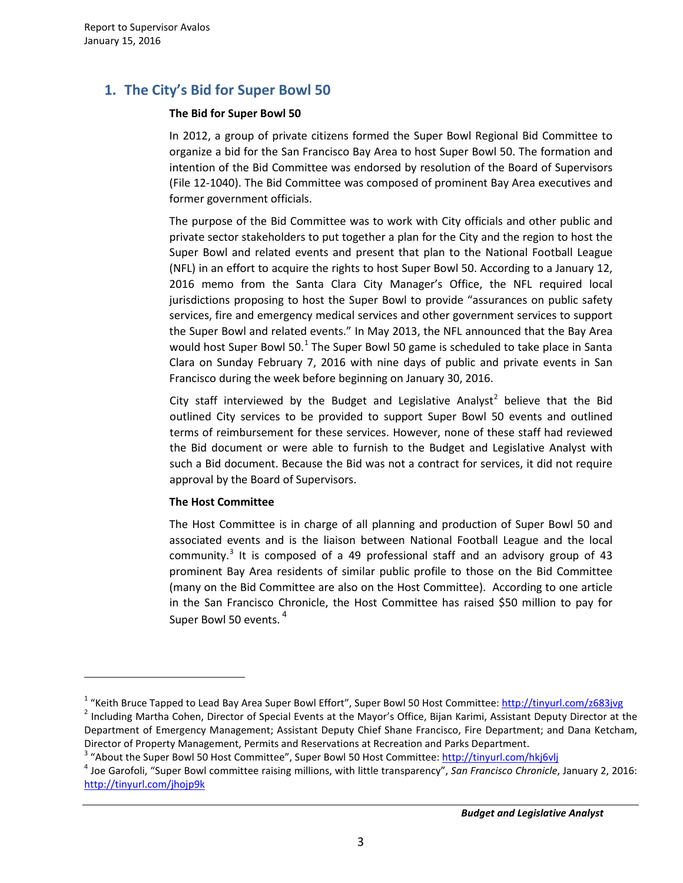# **1. The City's Bid for Super Bowl 50**

# **The Bid for Super Bowl 50**

In 2012, a group of private citizens formed the Super Bowl Regional Bid Committee to organize a bid for the San Francisco Bay Area to host Super Bowl 50. The formation and intention of the Bid Committee was endorsed by resolution of the Board of Supervisors (File 12-1040). The Bid Committee was composed of prominent Bay Area executives and former government officials.

The purpose of the Bid Committee was to work with City officials and other public and private sector stakeholders to put together a plan for the City and the region to host the Super Bowl and related events and present that plan to the National Football League (NFL) in an effort to acquire the rights to host Super Bowl 50. According to a January 12, 2016 memo from the Santa Clara City Manager's Office, the NFL required local jurisdictions proposing to host the Super Bowl to provide "assurances on public safety services, fire and emergency medical services and other government services to support the Super Bowl and related events." In May 2013, the NFL announced that the Bay Area would host Super Bowl 50.<sup>[1](#page-2-0)</sup> The Super Bowl 50 game is scheduled to take place in Santa Clara on Sunday February 7, 2016 with nine days of public and private events in San Francisco during the week before beginning on January 30, 2016.

City staff interviewed by the Budget and Legislative Analyst<sup>[2](#page-2-1)</sup> believe that the Bid outlined City services to be provided to support Super Bowl 50 events and outlined terms of reimbursement for these services. However, none of these staff had reviewed the Bid document or were able to furnish to the Budget and Legislative Analyst with such a Bid document. Because the Bid was not a contract for services, it did not require approval by the Board of Supervisors.

# **The Host Committee**

 $\overline{a}$ 

The Host Committee is in charge of all planning and production of Super Bowl 50 and associated events and is the liaison between National Football League and the local community.<sup>[3](#page-2-2)</sup> It is composed of a 49 professional staff and an advisory group of 43 prominent Bay Area residents of similar public profile to those on the Bid Committee (many on the Bid Committee are also on the Host Committee). According to one article in the San Francisco Chronicle, the Host Committee has raised \$50 million to pay for Super Bowl 50 events.<sup>[4](#page-2-3)</sup>

<span id="page-2-0"></span><sup>&</sup>lt;sup>1</sup> "Keith Bruce Tapped to Lead Bay Area Super Bowl Effort", Super Bowl 50 Host Committee: <http://tinyurl.com/z683jvg><br><sup>2</sup> Including Martha Cohen, Director of Special Events at the Mayor's Office, Bijan Karimi, Assistant De

<span id="page-2-1"></span>Department of Emergency Management; Assistant Deputy Chief Shane Francisco, Fire Department; and Dana Ketcham, Director of Property Management, Permits and Reservations at Recreation and Parks Department.<br><sup>3</sup> "About the Super Bowl 50 Host Committee", Super Bowl 50 Host Committee: http://tinyurl.com/hki6vli<br><sup>4</sup> Joe Garofoli, "Super

<span id="page-2-2"></span>

<span id="page-2-3"></span><http://tinyurl.com/jhojp9k>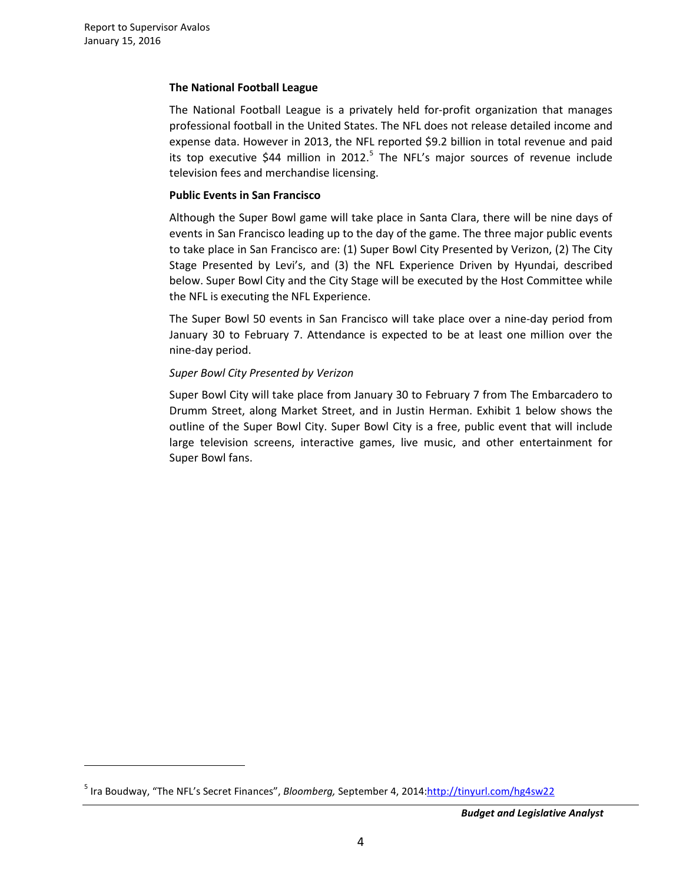$\overline{a}$ 

# **The National Football League**

The National Football League is a privately held for-profit organization that manages professional football in the United States. The NFL does not release detailed income and expense data. However in 2013, the NFL reported \$9.2 billion in total revenue and paid its top executive \$44 million in 2012.<sup>[5](#page-3-0)</sup> The NFL's major sources of revenue include television fees and merchandise licensing.

# **Public Events in San Francisco**

Although the Super Bowl game will take place in Santa Clara, there will be nine days of events in San Francisco leading up to the day of the game. The three major public events to take place in San Francisco are: (1) Super Bowl City Presented by Verizon, (2) The City Stage Presented by Levi's, and (3) the NFL Experience Driven by Hyundai, described below. Super Bowl City and the City Stage will be executed by the Host Committee while the NFL is executing the NFL Experience.

The Super Bowl 50 events in San Francisco will take place over a nine-day period from January 30 to February 7. Attendance is expected to be at least one million over the nine-day period.

# *Super Bowl City Presented by Verizon*

Super Bowl City will take place from January 30 to February 7 from The Embarcadero to Drumm Street, along Market Street, and in Justin Herman. Exhibit 1 below shows the outline of the Super Bowl City. Super Bowl City is a free, public event that will include large television screens, interactive games, live music, and other entertainment for Super Bowl fans.

<span id="page-3-0"></span><sup>5</sup> Ira Boudway, "The NFL's Secret Finances", *Bloomberg,* September 4, 2014[:http://tinyurl.com/hg4sw22](http://tinyurl.com/hg4sw22)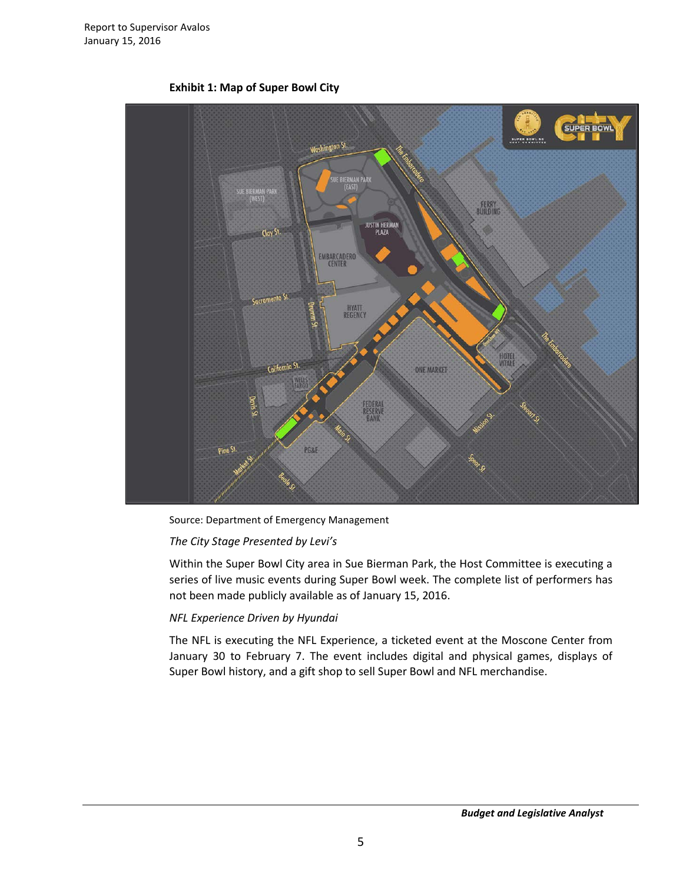

**Exhibit 1: Map of Super Bowl City**

Source: Department of Emergency Management

#### *The City Stage Presented by Levi's*

Within the Super Bowl City area in Sue Bierman Park, the Host Committee is executing a series of live music events during Super Bowl week. The complete list of performers has not been made publicly available as of January 15, 2016.

#### *NFL Experience Driven by Hyundai*

The NFL is executing the NFL Experience, a ticketed event at the Moscone Center from January 30 to February 7. The event includes digital and physical games, displays of Super Bowl history, and a gift shop to sell Super Bowl and NFL merchandise.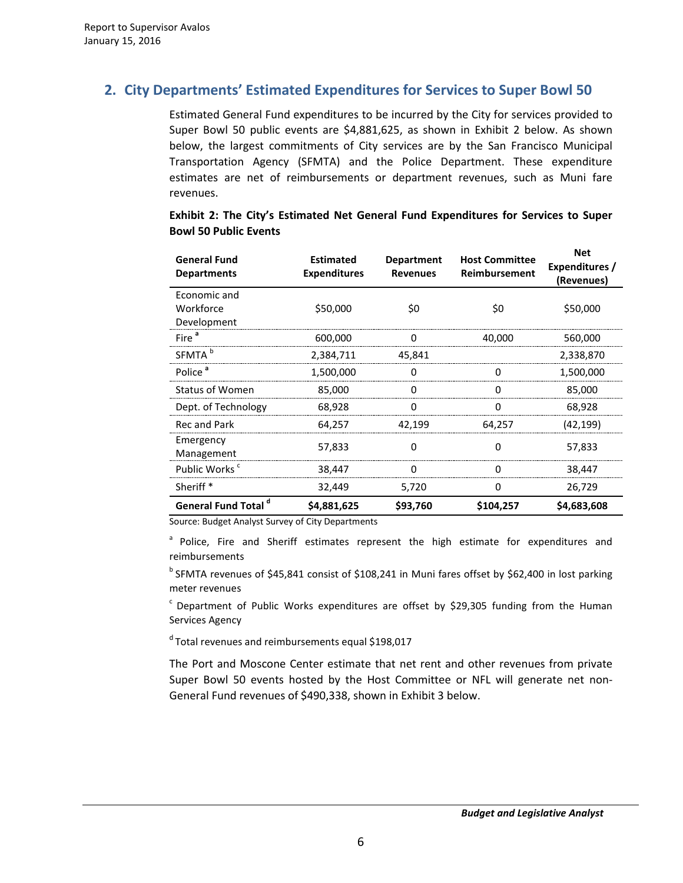# **2. City Departments' Estimated Expenditures for Services to Super Bowl 50**

Estimated General Fund expenditures to be incurred by the City for services provided to Super Bowl 50 public events are \$4,881,625, as shown in Exhibit 2 below. As shown below, the largest commitments of City services are by the San Francisco Municipal Transportation Agency (SFMTA) and the Police Department. These expenditure estimates are net of reimbursements or department revenues, such as Muni fare revenues.

| <b>General Fund</b><br><b>Departments</b> | <b>Estimated</b><br><b>Expenditures</b> | <b>Host Committee</b><br><b>Department</b><br><b>Reimbursement</b><br><b>Revenues</b> |           | <b>Net</b><br>Expenditures /<br>(Revenues) |
|-------------------------------------------|-----------------------------------------|---------------------------------------------------------------------------------------|-----------|--------------------------------------------|
| Economic and<br>Workforce<br>Development  | \$50,000                                | \$0                                                                                   | \$0       | \$50,000                                   |
| Fire <sup>a</sup>                         | 600,000                                 | 0                                                                                     | 40,000    | 560,000                                    |
| SFMTA <sup>b</sup>                        | 2,384,711                               | 45,841                                                                                |           | 2,338,870                                  |
| Police <sup>a</sup>                       | 1,500,000                               | 0                                                                                     | O         | 1,500,000                                  |
| <b>Status of Women</b>                    | 85,000                                  | 0                                                                                     | 0         | 85,000                                     |
| Dept. of Technology                       | 68,928                                  | ი                                                                                     | O         | 68,928                                     |
| <b>Recand Park</b>                        | 64,257                                  | 42,199                                                                                | 64,257    | (42, 199)                                  |
| Emergency<br>Management                   | 57,833                                  | 0                                                                                     | 0         | 57,833                                     |
| Public Works <sup>c</sup>                 | 38,447                                  | O                                                                                     | ∩         | 38,447                                     |
| Sheriff <sup>*</sup>                      | 32,449                                  | 5,720                                                                                 | 0         | 26,729                                     |
| <b>General Fund Total d</b>               | \$4,881,625                             | \$93,760                                                                              | \$104,257 | \$4,683,608                                |

## **Exhibit 2: The City's Estimated Net General Fund Expenditures for Services to Super Bowl 50 Public Events**

Source: Budget Analyst Survey of City Departments

<sup>a</sup> Police, Fire and Sheriff estimates represent the high estimate for expenditures and reimbursements

<sup>b</sup> SFMTA revenues of \$45,841 consist of \$108,241 in Muni fares offset by \$62,400 in lost parking meter revenues

 $c$  Department of Public Works expenditures are offset by \$29,305 funding from the Human Services Agency

d Total revenues and reimbursements equal \$198,017

The Port and Moscone Center estimate that net rent and other revenues from private Super Bowl 50 events hosted by the Host Committee or NFL will generate net non-General Fund revenues of \$490,338, shown in Exhibit 3 below.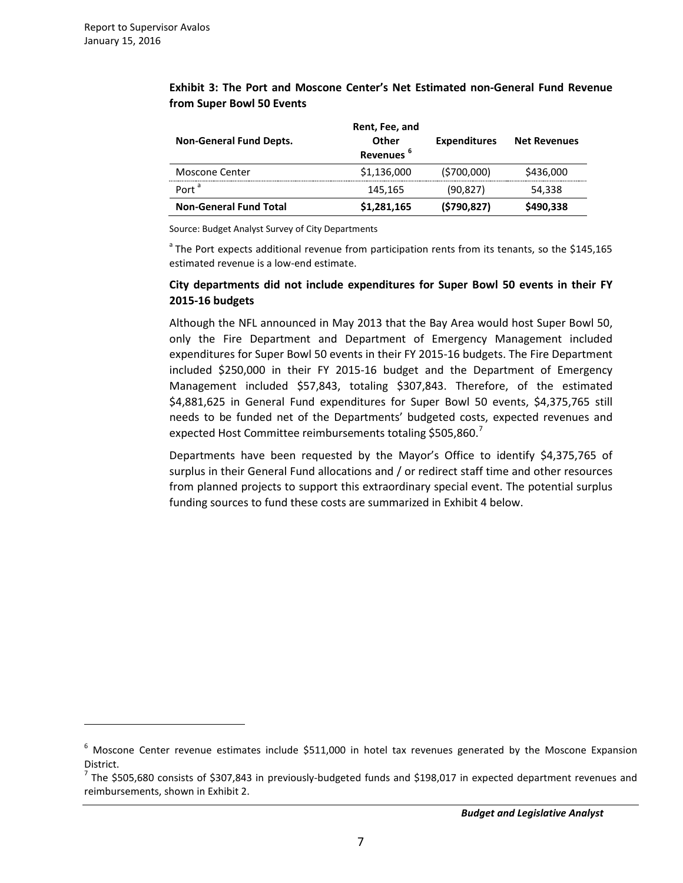$\overline{a}$ 

|                                | Rent, Fee, and        |                     |                     |
|--------------------------------|-----------------------|---------------------|---------------------|
| <b>Non-General Fund Depts.</b> | Other                 | <b>Expenditures</b> | <b>Net Revenues</b> |
|                                | Revenues <sup>6</sup> |                     |                     |
| Moscone Center                 | \$1,136,000           | (5700,000)          | \$436,000           |
| Port <sup>a</sup>              | 145.165               | (90,827)            | 54,338              |
| <b>Non-General Fund Total</b>  | \$1,281,165           | (\$790,827)         | \$490,338           |

**Exhibit 3: The Port and Moscone Center's Net Estimated non-General Fund Revenue from Super Bowl 50 Events**

Source: Budget Analyst Survey of City Departments

<sup>a</sup> The Port expects additional revenue from participation rents from its tenants, so the \$145,165 estimated revenue is a low-end estimate.

# **City departments did not include expenditures for Super Bowl 50 events in their FY 2015-16 budgets**

Although the NFL announced in May 2013 that the Bay Area would host Super Bowl 50, only the Fire Department and Department of Emergency Management included expenditures for Super Bowl 50 events in their FY 2015-16 budgets. The Fire Department included \$250,000 in their FY 2015-16 budget and the Department of Emergency Management included \$57,843, totaling \$307,843. Therefore, of the estimated \$4,881,625 in General Fund expenditures for Super Bowl 50 events, \$4,375,765 still needs to be funded net of the Departments' budgeted costs, expected revenues and expected Host Committee reimbursements totaling \$505,860.<sup>[7](#page-6-1)</sup>

Departments have been requested by the Mayor's Office to identify \$4,375,765 of surplus in their General Fund allocations and / or redirect staff time and other resources from planned projects to support this extraordinary special event. The potential surplus funding sources to fund these costs are summarized in Exhibit 4 below.

<span id="page-6-0"></span><sup>6</sup> Moscone Center revenue estimates include \$511,000 in hotel tax revenues generated by the Moscone Expansion District.

<span id="page-6-1"></span><sup>7</sup> The \$505,680 consists of \$307,843 in previously-budgeted funds and \$198,017 in expected department revenues and reimbursements, shown in Exhibit 2.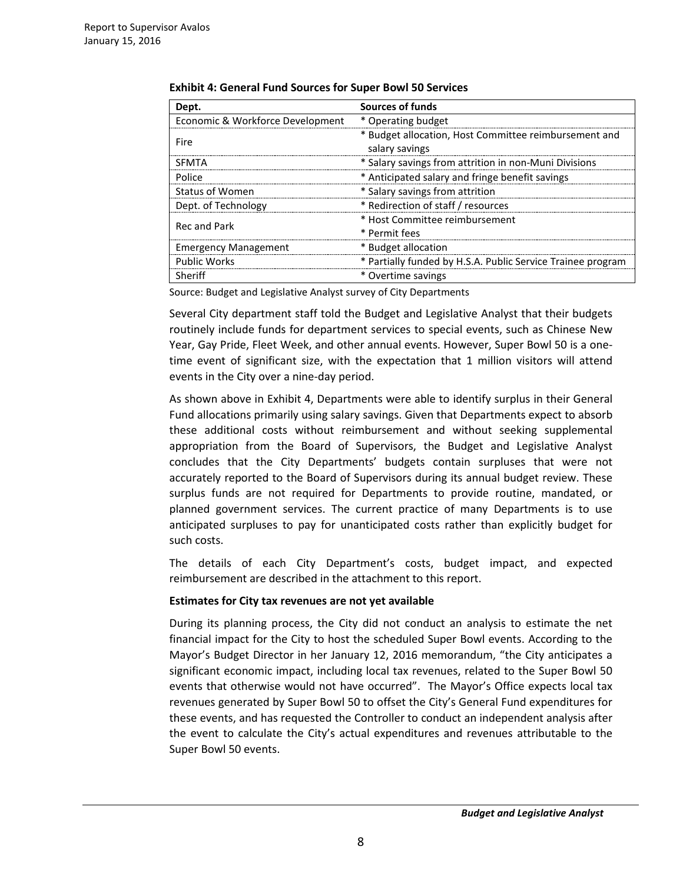| Dept.                            | <b>Sources of funds</b>                                                 |
|----------------------------------|-------------------------------------------------------------------------|
| Economic & Workforce Development | * Operating budget                                                      |
| Fire                             | * Budget allocation, Host Committee reimbursement and<br>salary savings |
| <b>SFMTA</b>                     | * Salary savings from attrition in non-Muni Divisions                   |
| Police                           | * Anticipated salary and fringe benefit savings                         |
| <b>Status of Women</b>           | * Salary savings from attrition                                         |
| Dept. of Technology              | * Redirection of staff / resources                                      |
| <b>Recand Park</b>               | * Host Committee reimbursement<br>* Permit fees                         |
| <b>Emergency Management</b>      | * Budget allocation                                                     |
| <b>Public Works</b>              | * Partially funded by H.S.A. Public Service Trainee program             |
| Sheriff                          | * Overtime savings                                                      |

**Exhibit 4: General Fund Sources for Super Bowl 50 Services**

Source: Budget and Legislative Analyst survey of City Departments

Several City department staff told the Budget and Legislative Analyst that their budgets routinely include funds for department services to special events, such as Chinese New Year, Gay Pride, Fleet Week, and other annual events. However, Super Bowl 50 is a onetime event of significant size, with the expectation that 1 million visitors will attend events in the City over a nine-day period.

As shown above in Exhibit 4, Departments were able to identify surplus in their General Fund allocations primarily using salary savings. Given that Departments expect to absorb these additional costs without reimbursement and without seeking supplemental appropriation from the Board of Supervisors, the Budget and Legislative Analyst concludes that the City Departments' budgets contain surpluses that were not accurately reported to the Board of Supervisors during its annual budget review. These surplus funds are not required for Departments to provide routine, mandated, or planned government services. The current practice of many Departments is to use anticipated surpluses to pay for unanticipated costs rather than explicitly budget for such costs.

The details of each City Department's costs, budget impact, and expected reimbursement are described in the attachment to this report.

# **Estimates for City tax revenues are not yet available**

During its planning process, the City did not conduct an analysis to estimate the net financial impact for the City to host the scheduled Super Bowl events. According to the Mayor's Budget Director in her January 12, 2016 memorandum, "the City anticipates a significant economic impact, including local tax revenues, related to the Super Bowl 50 events that otherwise would not have occurred". The Mayor's Office expects local tax revenues generated by Super Bowl 50 to offset the City's General Fund expenditures for these events, and has requested the Controller to conduct an independent analysis after the event to calculate the City's actual expenditures and revenues attributable to the Super Bowl 50 events.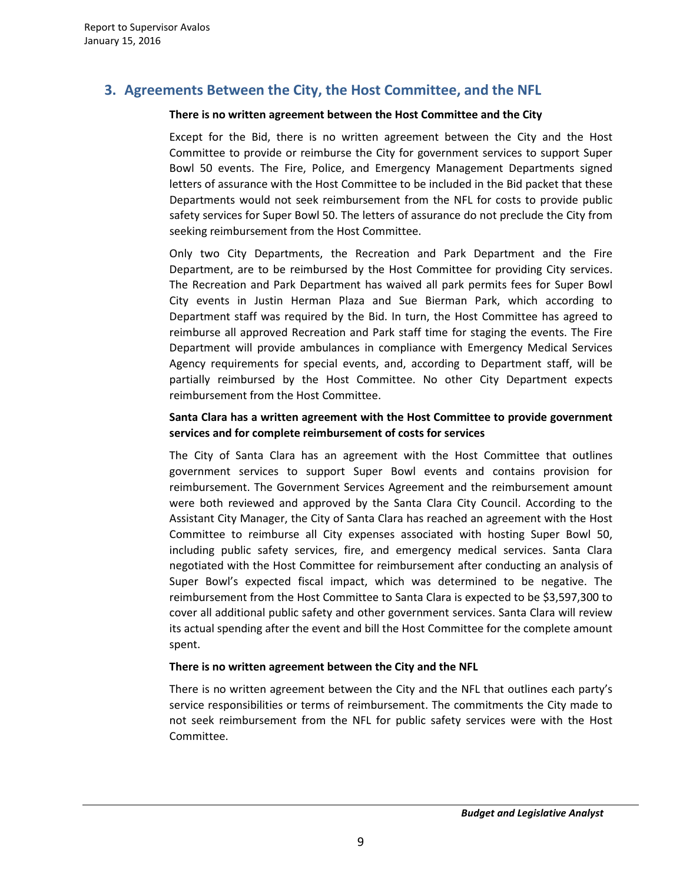# **3. Agreements Between the City, the Host Committee, and the NFL**

## **There is no written agreement between the Host Committee and the City**

Except for the Bid, there is no written agreement between the City and the Host Committee to provide or reimburse the City for government services to support Super Bowl 50 events. The Fire, Police, and Emergency Management Departments signed letters of assurance with the Host Committee to be included in the Bid packet that these Departments would not seek reimbursement from the NFL for costs to provide public safety services for Super Bowl 50. The letters of assurance do not preclude the City from seeking reimbursement from the Host Committee.

Only two City Departments, the Recreation and Park Department and the Fire Department, are to be reimbursed by the Host Committee for providing City services. The Recreation and Park Department has waived all park permits fees for Super Bowl City events in Justin Herman Plaza and Sue Bierman Park, which according to Department staff was required by the Bid. In turn, the Host Committee has agreed to reimburse all approved Recreation and Park staff time for staging the events. The Fire Department will provide ambulances in compliance with Emergency Medical Services Agency requirements for special events, and, according to Department staff, will be partially reimbursed by the Host Committee. No other City Department expects reimbursement from the Host Committee.

# **Santa Clara has a written agreement with the Host Committee to provide government services and for complete reimbursement of costs for services**

The City of Santa Clara has an agreement with the Host Committee that outlines government services to support Super Bowl events and contains provision for reimbursement. The Government Services Agreement and the reimbursement amount were both reviewed and approved by the Santa Clara City Council. According to the Assistant City Manager, the City of Santa Clara has reached an agreement with the Host Committee to reimburse all City expenses associated with hosting Super Bowl 50, including public safety services, fire, and emergency medical services. Santa Clara negotiated with the Host Committee for reimbursement after conducting an analysis of Super Bowl's expected fiscal impact, which was determined to be negative. The reimbursement from the Host Committee to Santa Clara is expected to be \$3,597,300 to cover all additional public safety and other government services. Santa Clara will review its actual spending after the event and bill the Host Committee for the complete amount spent.

#### **There is no written agreement between the City and the NFL**

There is no written agreement between the City and the NFL that outlines each party's service responsibilities or terms of reimbursement. The commitments the City made to not seek reimbursement from the NFL for public safety services were with the Host Committee.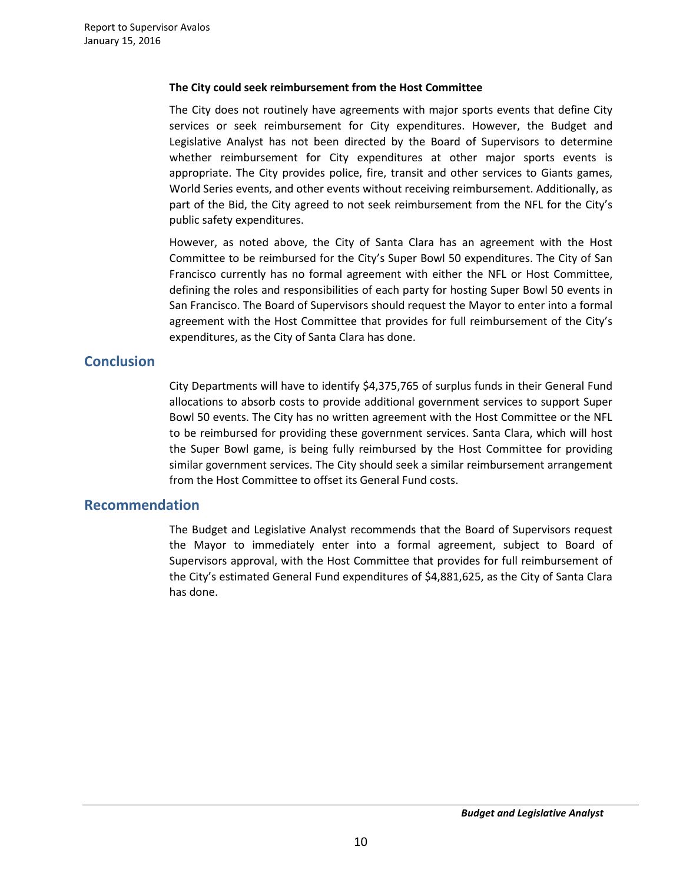#### **The City could seek reimbursement from the Host Committee**

The City does not routinely have agreements with major sports events that define City services or seek reimbursement for City expenditures. However, the Budget and Legislative Analyst has not been directed by the Board of Supervisors to determine whether reimbursement for City expenditures at other major sports events is appropriate. The City provides police, fire, transit and other services to Giants games, World Series events, and other events without receiving reimbursement. Additionally, as part of the Bid, the City agreed to not seek reimbursement from the NFL for the City's public safety expenditures.

However, as noted above, the City of Santa Clara has an agreement with the Host Committee to be reimbursed for the City's Super Bowl 50 expenditures. The City of San Francisco currently has no formal agreement with either the NFL or Host Committee, defining the roles and responsibilities of each party for hosting Super Bowl 50 events in San Francisco. The Board of Supervisors should request the Mayor to enter into a formal agreement with the Host Committee that provides for full reimbursement of the City's expenditures, as the City of Santa Clara has done.

# **Conclusion**

City Departments will have to identify \$4,375,765 of surplus funds in their General Fund allocations to absorb costs to provide additional government services to support Super Bowl 50 events. The City has no written agreement with the Host Committee or the NFL to be reimbursed for providing these government services. Santa Clara, which will host the Super Bowl game, is being fully reimbursed by the Host Committee for providing similar government services. The City should seek a similar reimbursement arrangement from the Host Committee to offset its General Fund costs.

# **Recommendation**

The Budget and Legislative Analyst recommends that the Board of Supervisors request the Mayor to immediately enter into a formal agreement, subject to Board of Supervisors approval, with the Host Committee that provides for full reimbursement of the City's estimated General Fund expenditures of \$4,881,625, as the City of Santa Clara has done.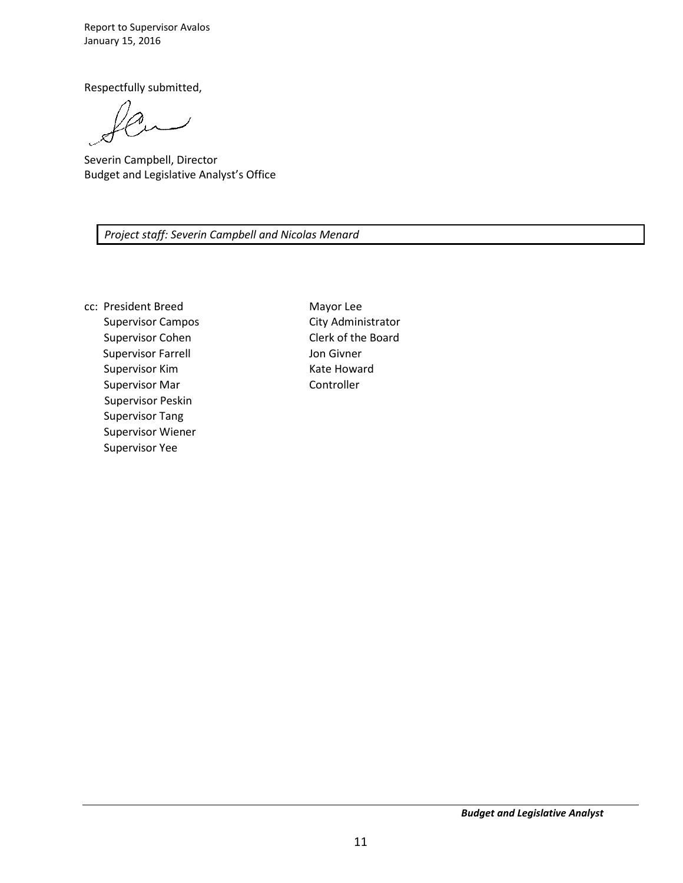Report to Supervisor Avalos January 15, 2016

Respectfully submitted,

Severin Campbell, Director Budget and Legislative Analyst's Office

*Project staff: Severin Campbell and Nicolas Menard* 

cc: President Breed Supervisor Campos Supervisor Cohen Supervisor Farrell Supervisor Kim Supervisor Mar Supervisor Peskin Supervisor Tang Supervisor Wiener Supervisor Yee

Mayor Lee City Administrator Clerk of the Board Jon Givner Kate Howard Controller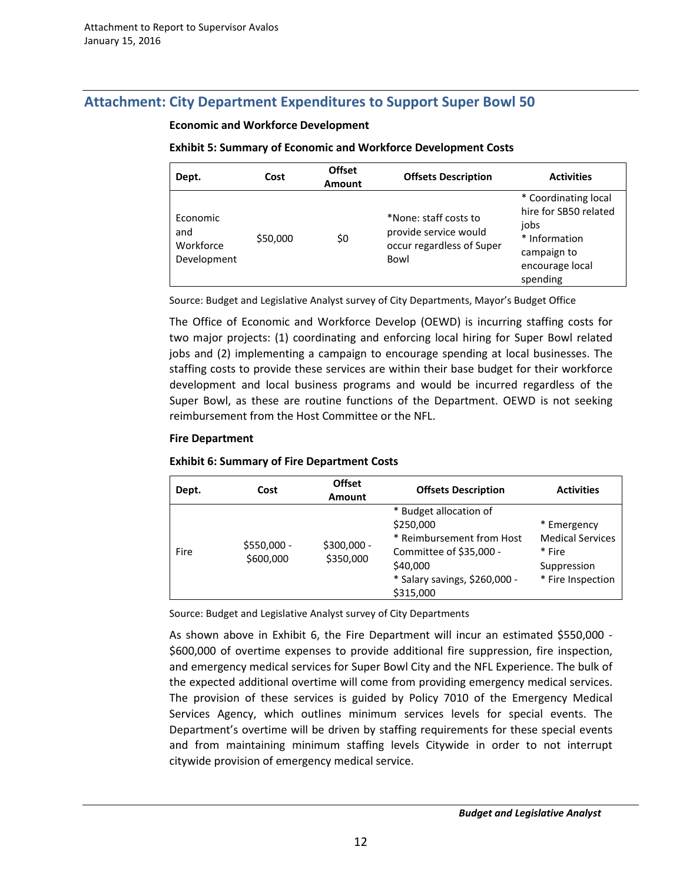# **Attachment: City Department Expenditures to Support Super Bowl 50**

## **Economic and Workforce Development**

# **Exhibit 5: Summary of Economic and Workforce Development Costs**

| Dept.                                       | Cost     | <b>Offset</b><br>Amount | <b>Offsets Description</b>                                                          | <b>Activities</b>                                                                                                    |
|---------------------------------------------|----------|-------------------------|-------------------------------------------------------------------------------------|----------------------------------------------------------------------------------------------------------------------|
| Economic<br>and<br>Workforce<br>Development | \$50,000 | \$0                     | *None: staff costs to<br>provide service would<br>occur regardless of Super<br>Bowl | * Coordinating local<br>hire for SB50 related<br>jobs<br>* Information<br>campaign to<br>encourage local<br>spending |

Source: Budget and Legislative Analyst survey of City Departments, Mayor's Budget Office

The Office of Economic and Workforce Develop (OEWD) is incurring staffing costs for two major projects: (1) coordinating and enforcing local hiring for Super Bowl related jobs and (2) implementing a campaign to encourage spending at local businesses. The staffing costs to provide these services are within their base budget for their workforce development and local business programs and would be incurred regardless of the Super Bowl, as these are routine functions of the Department. OEWD is not seeking reimbursement from the Host Committee or the NFL.

# **Fire Department**

#### **Exhibit 6: Summary of Fire Department Costs**

| Dept. | Cost                     | <b>Offset</b><br><b>Amount</b> | <b>Offsets Description</b>                                                                                                                            | <b>Activities</b>                                                                    |
|-------|--------------------------|--------------------------------|-------------------------------------------------------------------------------------------------------------------------------------------------------|--------------------------------------------------------------------------------------|
| Fire  | \$550,000 -<br>\$600,000 | \$300,000 -<br>\$350,000       | * Budget allocation of<br>\$250,000<br>* Reimbursement from Host<br>Committee of \$35,000 -<br>\$40,000<br>* Salary savings, \$260,000 -<br>\$315,000 | * Emergency<br><b>Medical Services</b><br>* Fire<br>Suppression<br>* Fire Inspection |

Source: Budget and Legislative Analyst survey of City Departments

As shown above in Exhibit 6, the Fire Department will incur an estimated \$550,000 - \$600,000 of overtime expenses to provide additional fire suppression, fire inspection, and emergency medical services for Super Bowl City and the NFL Experience. The bulk of the expected additional overtime will come from providing emergency medical services. The provision of these services is guided by Policy 7010 of the Emergency Medical Services Agency, which outlines minimum services levels for special events. The Department's overtime will be driven by staffing requirements for these special events and from maintaining minimum staffing levels Citywide in order to not interrupt citywide provision of emergency medical service.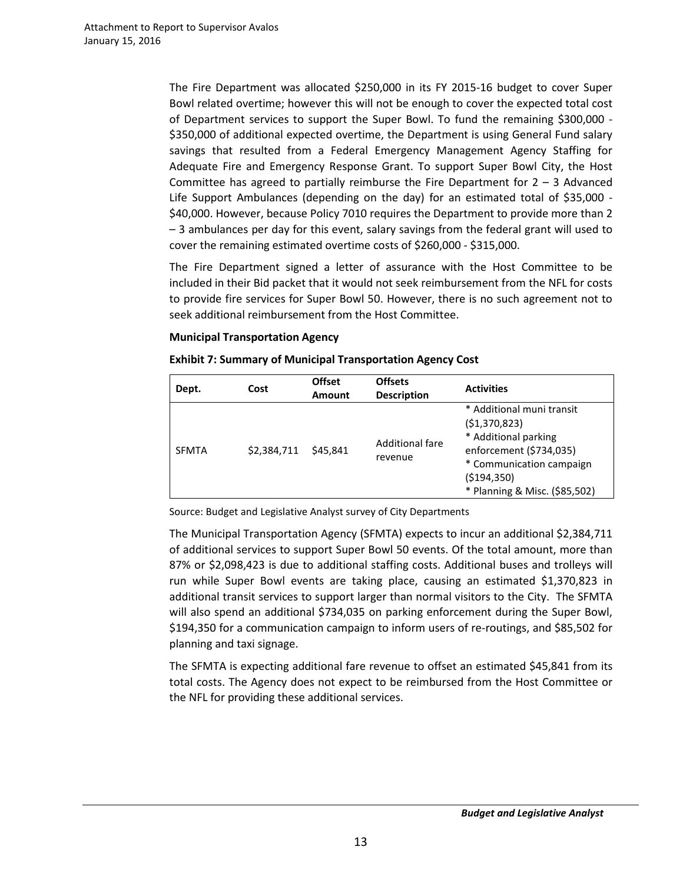The Fire Department was allocated \$250,000 in its FY 2015-16 budget to cover Super Bowl related overtime; however this will not be enough to cover the expected total cost of Department services to support the Super Bowl. To fund the remaining \$300,000 - \$350,000 of additional expected overtime, the Department is using General Fund salary savings that resulted from a Federal Emergency Management Agency Staffing for Adequate Fire and Emergency Response Grant. To support Super Bowl City, the Host Committee has agreed to partially reimburse the Fire Department for  $2 - 3$  Advanced Life Support Ambulances (depending on the day) for an estimated total of \$35,000 - \$40,000. However, because Policy 7010 requires the Department to provide more than 2 – 3 ambulances per day for this event, salary savings from the federal grant will used to cover the remaining estimated overtime costs of \$260,000 - \$315,000.

The Fire Department signed a letter of assurance with the Host Committee to be included in their Bid packet that it would not seek reimbursement from the NFL for costs to provide fire services for Super Bowl 50. However, there is no such agreement not to seek additional reimbursement from the Host Committee.

# **Municipal Transportation Agency**

| Dept.        | Cost        | <b>Offset</b><br><b>Amount</b> | <b>Offsets</b><br><b>Description</b> | <b>Activities</b>                                                                                                                                                            |
|--------------|-------------|--------------------------------|--------------------------------------|------------------------------------------------------------------------------------------------------------------------------------------------------------------------------|
| <b>SFMTA</b> | \$2,384,711 | \$45.841                       | Additional fare<br>revenue           | * Additional muni transit<br>(51, 370, 823)<br>* Additional parking<br>enforcement (\$734,035)<br>* Communication campaign<br>( \$194, 350)<br>* Planning & Misc. (\$85,502) |

#### **Exhibit 7: Summary of Municipal Transportation Agency Cost**

Source: Budget and Legislative Analyst survey of City Departments

The Municipal Transportation Agency (SFMTA) expects to incur an additional \$2,384,711 of additional services to support Super Bowl 50 events. Of the total amount, more than 87% or \$2,098,423 is due to additional staffing costs. Additional buses and trolleys will run while Super Bowl events are taking place, causing an estimated \$1,370,823 in additional transit services to support larger than normal visitors to the City. The SFMTA will also spend an additional \$734,035 on parking enforcement during the Super Bowl, \$194,350 for a communication campaign to inform users of re-routings, and \$85,502 for planning and taxi signage.

The SFMTA is expecting additional fare revenue to offset an estimated \$45,841 from its total costs. The Agency does not expect to be reimbursed from the Host Committee or the NFL for providing these additional services.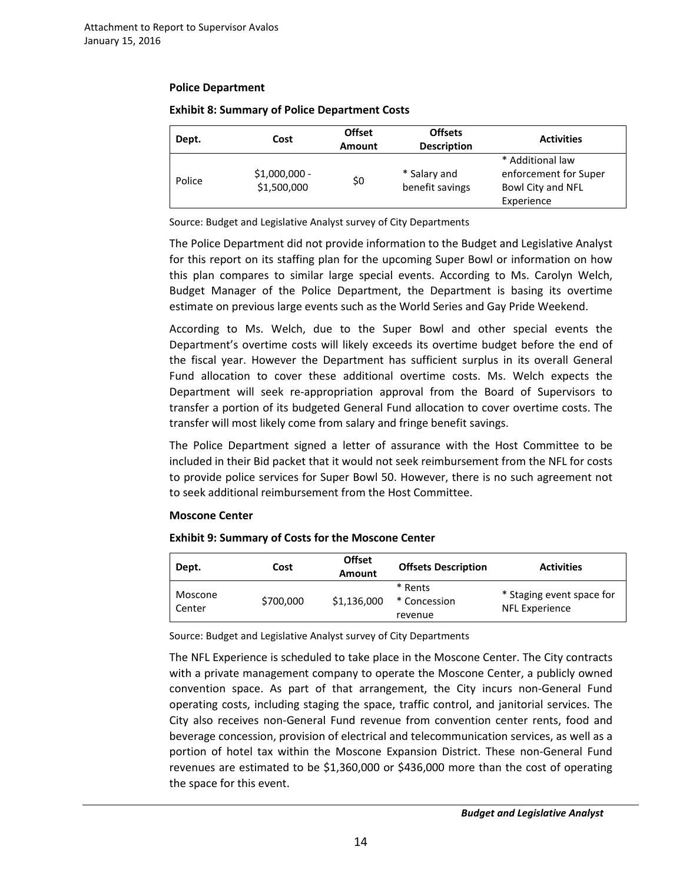## **Police Department**

| Dept.  | Cost                          | <b>Offset</b><br>Amount | <b>Offsets</b><br><b>Description</b> | <b>Activities</b>                                                            |
|--------|-------------------------------|-------------------------|--------------------------------------|------------------------------------------------------------------------------|
| Police | $$1,000,000 -$<br>\$1,500,000 | \$0                     | * Salary and<br>benefit savings      | * Additional law<br>enforcement for Super<br>Bowl City and NFL<br>Experience |

# **Exhibit 8: Summary of Police Department Costs**

Source: Budget and Legislative Analyst survey of City Departments

The Police Department did not provide information to the Budget and Legislative Analyst for this report on its staffing plan for the upcoming Super Bowl or information on how this plan compares to similar large special events. According to Ms. Carolyn Welch, Budget Manager of the Police Department, the Department is basing its overtime estimate on previous large events such as the World Series and Gay Pride Weekend.

According to Ms. Welch, due to the Super Bowl and other special events the Department's overtime costs will likely exceeds its overtime budget before the end of the fiscal year. However the Department has sufficient surplus in its overall General Fund allocation to cover these additional overtime costs. Ms. Welch expects the Department will seek re-appropriation approval from the Board of Supervisors to transfer a portion of its budgeted General Fund allocation to cover overtime costs. The transfer will most likely come from salary and fringe benefit savings.

The Police Department signed a letter of assurance with the Host Committee to be included in their Bid packet that it would not seek reimbursement from the NFL for costs to provide police services for Super Bowl 50. However, there is no such agreement not to seek additional reimbursement from the Host Committee.

#### **Moscone Center**

# **Exhibit 9: Summary of Costs for the Moscone Center**

| Dept.             | Cost      | <b>Offset</b><br><b>Amount</b> | <b>Offsets Description</b>         | <b>Activities</b>                                  |
|-------------------|-----------|--------------------------------|------------------------------------|----------------------------------------------------|
| Moscone<br>Center | \$700,000 | \$1,136,000                    | * Rents<br>* Concession<br>revenue | * Staging event space for<br><b>NFL Experience</b> |

Source: Budget and Legislative Analyst survey of City Departments

The NFL Experience is scheduled to take place in the Moscone Center. The City contracts with a private management company to operate the Moscone Center, a publicly owned convention space. As part of that arrangement, the City incurs non-General Fund operating costs, including staging the space, traffic control, and janitorial services. The City also receives non-General Fund revenue from convention center rents, food and beverage concession, provision of electrical and telecommunication services, as well as a portion of hotel tax within the Moscone Expansion District. These non-General Fund revenues are estimated to be \$1,360,000 or \$436,000 more than the cost of operating the space for this event.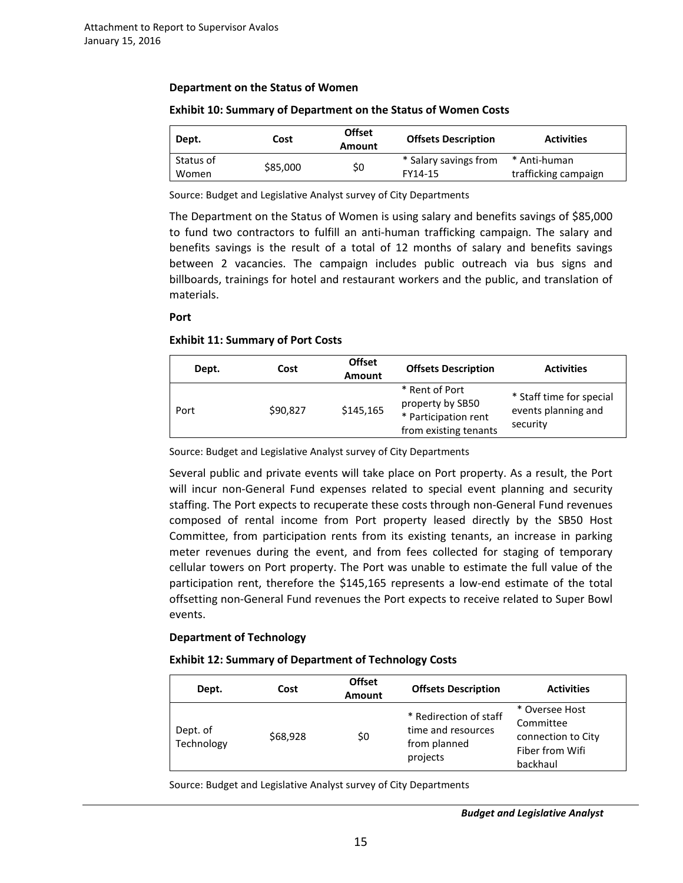#### **Department on the Status of Women**

| Dept.              | Cost     | <b>Offset</b><br>Amount | <b>Offsets Description</b>       | <b>Activities</b>                    |
|--------------------|----------|-------------------------|----------------------------------|--------------------------------------|
| Status of<br>Women | \$85,000 | \$0                     | * Salary savings from<br>FY14-15 | * Anti-human<br>trafficking campaign |

#### **Exhibit 10: Summary of Department on the Status of Women Costs**

Source: Budget and Legislative Analyst survey of City Departments

The Department on the Status of Women is using salary and benefits savings of \$85,000 to fund two contractors to fulfill an anti-human trafficking campaign. The salary and benefits savings is the result of a total of 12 months of salary and benefits savings between 2 vacancies. The campaign includes public outreach via bus signs and billboards, trainings for hotel and restaurant workers and the public, and translation of materials.

**Port** 

#### **Exhibit 11: Summary of Port Costs**

| Dept. | Cost     | <b>Offset</b><br><b>Amount</b> | <b>Offsets Description</b>                                                          | <b>Activities</b>                                           |
|-------|----------|--------------------------------|-------------------------------------------------------------------------------------|-------------------------------------------------------------|
| Port  | \$90,827 | \$145,165                      | * Rent of Port<br>property by SB50<br>* Participation rent<br>from existing tenants | * Staff time for special<br>events planning and<br>security |

Source: Budget and Legislative Analyst survey of City Departments

Several public and private events will take place on Port property. As a result, the Port will incur non-General Fund expenses related to special event planning and security staffing. The Port expects to recuperate these costs through non-General Fund revenues composed of rental income from Port property leased directly by the SB50 Host Committee, from participation rents from its existing tenants, an increase in parking meter revenues during the event, and from fees collected for staging of temporary cellular towers on Port property. The Port was unable to estimate the full value of the participation rent, therefore the \$145,165 represents a low-end estimate of the total offsetting non-General Fund revenues the Port expects to receive related to Super Bowl events.

#### **Department of Technology**

#### **Exhibit 12: Summary of Department of Technology Costs**

| Dept.                  | Cost     | <b>Offset</b><br><b>Amount</b> | <b>Offsets Description</b>                                               | <b>Activities</b>                                                                |
|------------------------|----------|--------------------------------|--------------------------------------------------------------------------|----------------------------------------------------------------------------------|
| Dept. of<br>Technology | \$68,928 | \$0                            | * Redirection of staff<br>time and resources<br>from planned<br>projects | * Oversee Host<br>Committee<br>connection to City<br>Fiber from Wifi<br>backhaul |

Source: Budget and Legislative Analyst survey of City Departments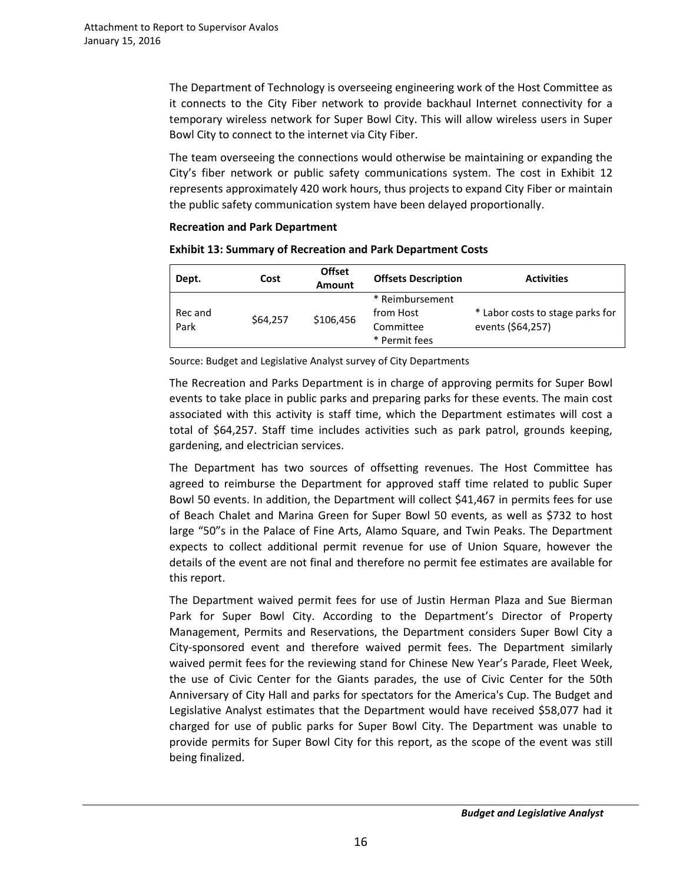The Department of Technology is overseeing engineering work of the Host Committee as it connects to the City Fiber network to provide backhaul Internet connectivity for a temporary wireless network for Super Bowl City. This will allow wireless users in Super Bowl City to connect to the internet via City Fiber.

The team overseeing the connections would otherwise be maintaining or expanding the City's fiber network or public safety communications system. The cost in Exhibit 12 represents approximately 420 work hours, thus projects to expand City Fiber or maintain the public safety communication system have been delayed proportionally.

# **Recreation and Park Department**

| <b>Exhibit 13: Summary of Recreation and Park Department Costs</b> |
|--------------------------------------------------------------------|
|--------------------------------------------------------------------|

| Dept.           | Cost     | <b>Offset</b><br><b>Amount</b> | <b>Offsets Description</b>                                 | <b>Activities</b>                                     |
|-----------------|----------|--------------------------------|------------------------------------------------------------|-------------------------------------------------------|
| Rec and<br>Park | \$64.257 | \$106,456                      | * Reimbursement<br>from Host<br>Committee<br>* Permit fees | * Labor costs to stage parks for<br>events (\$64,257) |

Source: Budget and Legislative Analyst survey of City Departments

The Recreation and Parks Department is in charge of approving permits for Super Bowl events to take place in public parks and preparing parks for these events. The main cost associated with this activity is staff time, which the Department estimates will cost a total of \$64,257. Staff time includes activities such as park patrol, grounds keeping, gardening, and electrician services.

The Department has two sources of offsetting revenues. The Host Committee has agreed to reimburse the Department for approved staff time related to public Super Bowl 50 events. In addition, the Department will collect \$41,467 in permits fees for use of Beach Chalet and Marina Green for Super Bowl 50 events, as well as \$732 to host large "50"s in the Palace of Fine Arts, Alamo Square, and Twin Peaks. The Department expects to collect additional permit revenue for use of Union Square, however the details of the event are not final and therefore no permit fee estimates are available for this report.

The Department waived permit fees for use of Justin Herman Plaza and Sue Bierman Park for Super Bowl City. According to the Department's Director of Property Management, Permits and Reservations, the Department considers Super Bowl City a City-sponsored event and therefore waived permit fees. The Department similarly waived permit fees for the reviewing stand for Chinese New Year's Parade, Fleet Week, the use of Civic Center for the Giants parades, the use of Civic Center for the 50th Anniversary of City Hall and parks for spectators for the America's Cup. The Budget and Legislative Analyst estimates that the Department would have received \$58,077 had it charged for use of public parks for Super Bowl City. The Department was unable to provide permits for Super Bowl City for this report, as the scope of the event was still being finalized.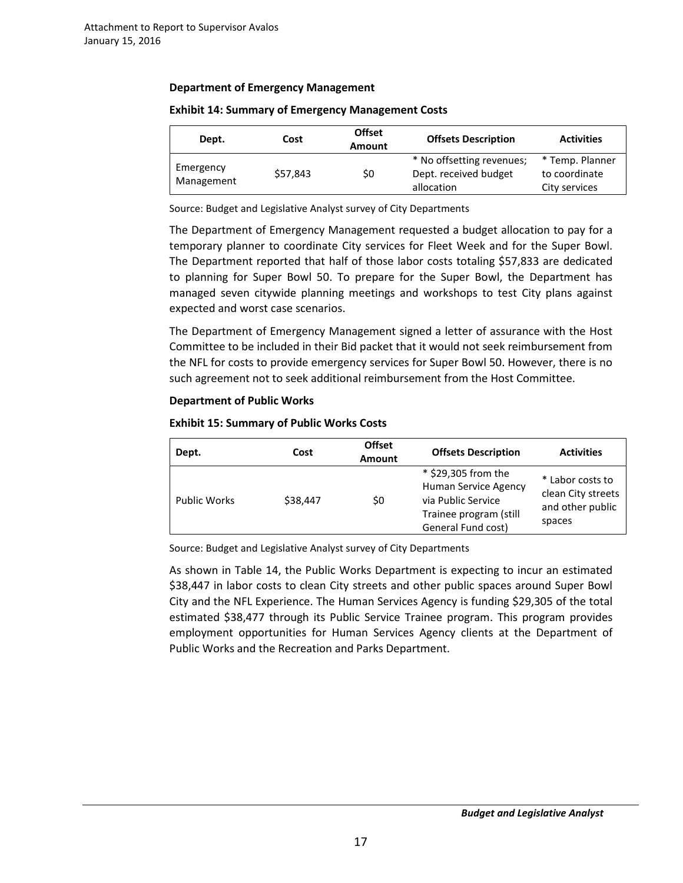# **Department of Emergency Management**

| Dept.                   | Cost     | <b>Offset</b><br><b>Amount</b> | <b>Offsets Description</b>                                       | <b>Activities</b>                                 |
|-------------------------|----------|--------------------------------|------------------------------------------------------------------|---------------------------------------------------|
| Emergency<br>Management | \$57,843 | \$0                            | * No offsetting revenues;<br>Dept. received budget<br>allocation | * Temp. Planner<br>to coordinate<br>City services |

## **Exhibit 14: Summary of Emergency Management Costs**

Source: Budget and Legislative Analyst survey of City Departments

The Department of Emergency Management requested a budget allocation to pay for a temporary planner to coordinate City services for Fleet Week and for the Super Bowl. The Department reported that half of those labor costs totaling \$57,833 are dedicated to planning for Super Bowl 50. To prepare for the Super Bowl, the Department has managed seven citywide planning meetings and workshops to test City plans against expected and worst case scenarios.

The Department of Emergency Management signed a letter of assurance with the Host Committee to be included in their Bid packet that it would not seek reimbursement from the NFL for costs to provide emergency services for Super Bowl 50. However, there is no such agreement not to seek additional reimbursement from the Host Committee.

# **Department of Public Works**

# **Exhibit 15: Summary of Public Works Costs**

| Dept.               | Cost     | <b>Offset</b><br><b>Amount</b> | <b>Offsets Description</b>                                                                                               | <b>Activities</b>                                                    |
|---------------------|----------|--------------------------------|--------------------------------------------------------------------------------------------------------------------------|----------------------------------------------------------------------|
| <b>Public Works</b> | \$38,447 | \$0                            | * \$29,305 from the<br><b>Human Service Agency</b><br>via Public Service<br>Trainee program (still<br>General Fund cost) | * Labor costs to<br>clean City streets<br>and other public<br>spaces |

Source: Budget and Legislative Analyst survey of City Departments

As shown in Table 14, the Public Works Department is expecting to incur an estimated \$38,447 in labor costs to clean City streets and other public spaces around Super Bowl City and the NFL Experience. The Human Services Agency is funding \$29,305 of the total estimated \$38,477 through its Public Service Trainee program. This program provides employment opportunities for Human Services Agency clients at the Department of Public Works and the Recreation and Parks Department.